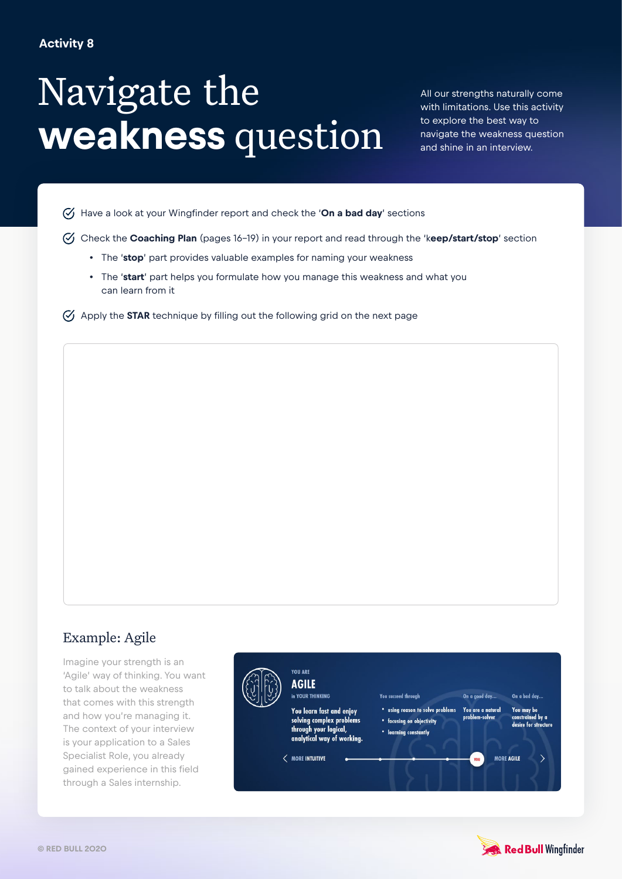## **Activity 8**

## Navigate the **weakness** question

All our strengths naturally come with limitations. Use this activity to explore the best way to navigate the weakness question and shine in an interview.

Have a look at your Wingfinder report and check the '**On a bad day**' sections

- Check the **Coaching Plan** (pages 16-19) in your report and read through the 'k**eep/start/stop**' section
	- The '**stop**' part provides valuable examples for naming your weakness
	- The '**start**' part helps you formulate how you manage this weakness and what you can learn from it
- $\heartsuit$  Apply the **STAR** technique by filling out the following grid on the next page

## Example: Agile

Imagine your strength is an 'Agile' way of thinking. You want to talk about the weakness that comes with this strength and how you're managing it. The context of your interview is your application to a Sales Specialist Role, you already gained experience in this field through a Sales internship.